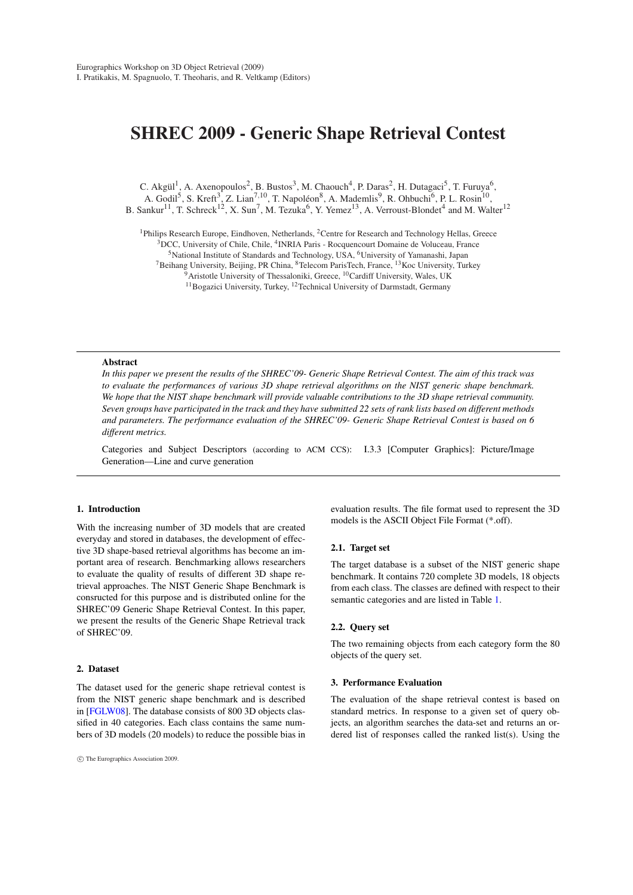# SHREC 2009 - Generic Shape Retrieval Contest

C. Akgül<sup>1</sup>, A. Axenopoulos<sup>2</sup>, B. Bustos<sup>3</sup>, M. Chaouch<sup>4</sup>, P. Daras<sup>2</sup>, H. Dutagaci<sup>5</sup>, T. Furuya<sup>6</sup>, A. Godil<sup>5</sup>, S. Kreft<sup>3</sup>, Z. Lian<sup>7,10</sup>, T. Napoléon<sup>8</sup>, A. Mademlis<sup>9</sup>, R. Ohbuchi<sup>6</sup>, P. L. Rosin<sup>10</sup>,

B. Sankur<sup>11</sup>, T. Schreck<sup>12</sup>, X. Sun<sup>7</sup>, M. Tezuka<sup>6</sup>, Y. Yemez<sup>13</sup>, A. Verroust-Blondet<sup>4</sup> and M. Walter<sup>12</sup>

<sup>1</sup>Philips Research Europe, Eindhoven, Netherlands, <sup>2</sup>Centre for Research and Technology Hellas, Greece <sup>3</sup>DCC, University of Chile, Chile, <sup>4</sup>INRIA Paris - Rocquencourt Domaine de Voluceau, France

<sup>5</sup>National Institute of Standards and Technology, USA, <sup>6</sup>University of Yamanashi, Japan

 $7B$ eihang University, Beijing, PR China,  ${}^{8}$ Telecom ParisTech, France,  ${}^{13}$ Koc University, Turkey

 $\widetilde{\mathcal{P}}$ Aristotle University of Thessaloniki, Greece, <sup>10</sup>Cardiff University, Wales, UK

<sup>11</sup>Bogazici University, Turkey, <sup>12</sup>Technical University of Darmstadt, Germany

#### Abstract

*In this paper we present the results of the SHREC'09- Generic Shape Retrieval Contest. The aim of this track was to evaluate the performances of various 3D shape retrieval algorithms on the NIST generic shape benchmark. We hope that the NIST shape benchmark will provide valuable contributions to the 3D shape retrieval community. Seven groups have participated in the track and they have submitted 22 sets of rank lists based on different methods and parameters. The performance evaluation of the SHREC'09- Generic Shape Retrieval Contest is based on 6 different metrics.*

Categories and Subject Descriptors (according to ACM CCS): I.3.3 [Computer Graphics]: Picture/Image Generation—Line and curve generation

# 1. Introduction

With the increasing number of 3D models that are created everyday and stored in databases, the development of effective 3D shape-based retrieval algorithms has become an important area of research. Benchmarking allows researchers to evaluate the quality of results of different 3D shape retrieval approaches. The NIST Generic Shape Benchmark is consructed for this purpose and is distributed online for the SHREC'09 Generic Shape Retrieval Contest. In this paper, we present the results of the Generic Shape Retrieval track of SHREC'09.

# 2. Dataset

The dataset used for the generic shape retrieval contest is from the NIST generic shape benchmark and is described in [FGLW08]. The database consists of 800 3D objects classified in 40 categories. Each class contains the same numbers of 3D models (20 models) to reduce the possible bias in evaluation results. The file format used to represent the 3D models is the ASCII Object File Format (\*.off).

#### 2.1. Target set

The target database is a subset of the NIST generic shape benchmark. It contains 720 complete 3D models, 18 objects from each class. The classes are defined with respect to their semantic categories and are listed in Table 1.

#### 2.2. Query set

The two remaining objects from each category form the 80 objects of the query set.

#### 3. Performance Evaluation

The evaluation of the shape retrieval contest is based on standard metrics. In response to a given set of query objects, an algorithm searches the data-set and returns an ordered list of responses called the ranked list(s). Using the

<sup>°</sup>c The Eurographics Association 2009.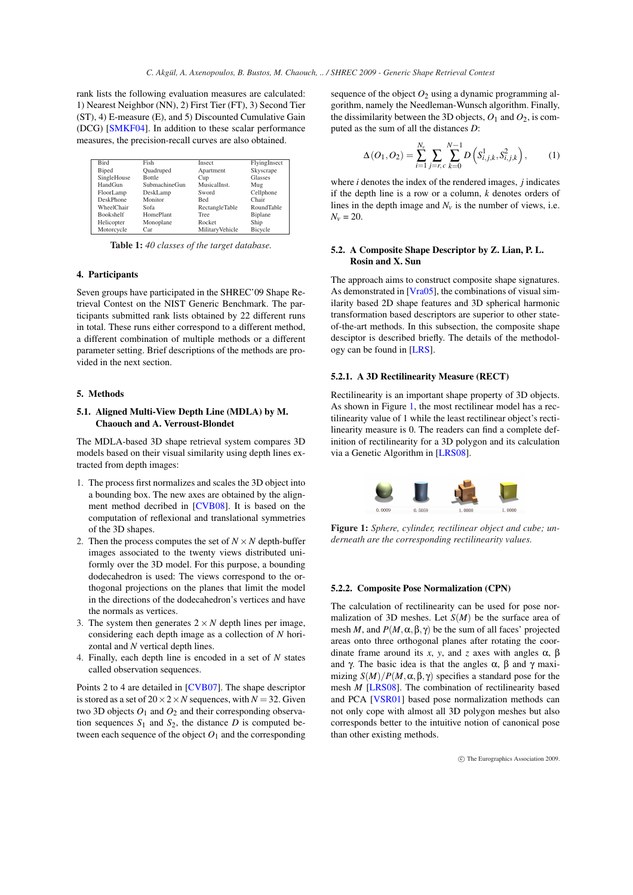rank lists the following evaluation measures are calculated: 1) Nearest Neighbor (NN), 2) First Tier (FT), 3) Second Tier (ST), 4) E-measure (E), and 5) Discounted Cumulative Gain (DCG) [SMKF04]. In addition to these scalar performance measures, the precision-recall curves are also obtained.

| <b>Bird</b>      | Fish             | Insect                | FlyingInsect   |
|------------------|------------------|-----------------------|----------------|
| <b>Biped</b>     | Quadruped        | Apartment             | Skyscrape      |
| SingleHouse      | <b>Bottle</b>    | Cup                   | Glasses        |
| HandGun          | SubmachineGun    | MusicalInst.          | Mug            |
| FloorLamp        | DeskLamp         | Sword                 | Cellphone      |
| DeskPhone        | Monitor          | Bed                   | Chair          |
| WheelChair       | Sofa             | <b>RectangleTable</b> | RoundTable     |
| <b>Bookshelf</b> | <b>HomePlant</b> | <b>Tree</b>           | <b>Biplane</b> |
| Helicopter       | Monoplane        | Rocket                | Ship           |
| Motorcycle       | Car              | MilitaryVehicle       | Bicycle        |

Table 1: *40 classes of the target database.*

# 4. Participants

Seven groups have participated in the SHREC'09 Shape Retrieval Contest on the NIST Generic Benchmark. The participants submitted rank lists obtained by 22 different runs in total. These runs either correspond to a different method, a different combination of multiple methods or a different parameter setting. Brief descriptions of the methods are provided in the next section.

# 5. Methods

# 5.1. Aligned Multi-View Depth Line (MDLA) by M. Chaouch and A. Verroust-Blondet

The MDLA-based 3D shape retrieval system compares 3D models based on their visual similarity using depth lines extracted from depth images:

- 1. The process first normalizes and scales the 3D object into a bounding box. The new axes are obtained by the alignment method decribed in [CVB08]. It is based on the computation of reflexional and translational symmetries of the 3D shapes.
- 2. Then the process computes the set of  $N \times N$  depth-buffer images associated to the twenty views distributed uniformly over the 3D model. For this purpose, a bounding dodecahedron is used: The views correspond to the orthogonal projections on the planes that limit the model in the directions of the dodecahedron's vertices and have the normals as vertices.
- 3. The system then generates  $2 \times N$  depth lines per image, considering each depth image as a collection of *N* horizontal and *N* vertical depth lines.
- 4. Finally, each depth line is encoded in a set of *N* states called observation sequences.

Points 2 to 4 are detailed in [CVB07]. The shape descriptor is stored as a set of  $20 \times 2 \times N$  sequences, with  $N = 32$ . Given two 3D objects  $O_1$  and  $O_2$  and their corresponding observation sequences  $S_1$  and  $S_2$ , the distance *D* is computed between each sequence of the object  $O_1$  and the corresponding

sequence of the object  $O_2$  using a dynamic programming algorithm, namely the Needleman-Wunsch algorithm. Finally, the dissimilarity between the 3D objects,  $O_1$  and  $O_2$ , is computed as the sum of all the distances *D*:

$$
\Delta(O_1, O_2) = \sum_{i=1}^{N_v} \sum_{j=r,c}^{N_v-1} D\left(S^1_{i,j,k}, S^2_{i,j,k}\right),\tag{1}
$$

where *i* denotes the index of the rendered images, *j* indicates if the depth line is a row or a column, *k* denotes orders of lines in the depth image and  $N_v$  is the number of views, i.e.  $N_v = 20$ .

## 5.2. A Composite Shape Descriptor by Z. Lian, P. L. Rosin and X. Sun

The approach aims to construct composite shape signatures. As demonstrated in [Vra05], the combinations of visual similarity based 2D shape features and 3D spherical harmonic transformation based descriptors are superior to other stateof-the-art methods. In this subsection, the composite shape desciptor is described briefly. The details of the methodology can be found in [LRS].

# 5.2.1. A 3D Rectilinearity Measure (RECT)

Rectilinearity is an important shape property of 3D objects. As shown in Figure 1, the most rectilinear model has a rectilinearity value of 1 while the least rectilinear object's rectilinearity measure is 0. The readers can find a complete definition of rectilinearity for a 3D polygon and its calculation via a Genetic Algorithm in [LRS08].



Figure 1: *Sphere, cylinder, rectilinear object and cube; underneath are the corresponding rectilinearity values.*

## 5.2.2. Composite Pose Normalization (CPN)

The calculation of rectilinearity can be used for pose normalization of 3D meshes. Let *S*(*M*) be the surface area of mesh *M*, and  $P(M, \alpha, \beta, \gamma)$  be the sum of all faces' projected areas onto three orthogonal planes after rotating the coordinate frame around its *x*, *y*, and *z* axes with angles  $\alpha$ , β and  $\gamma$ . The basic idea is that the angles  $\alpha$ ,  $\beta$  and  $\gamma$  maximizing  $S(M)/P(M, \alpha, \beta, \gamma)$  specifies a standard pose for the mesh *M* [LRS08]. The combination of rectilinearity based and PCA [VSR01] based pose normalization methods can not only cope with almost all 3D polygon meshes but also corresponds better to the intuitive notion of canonical pose than other existing methods.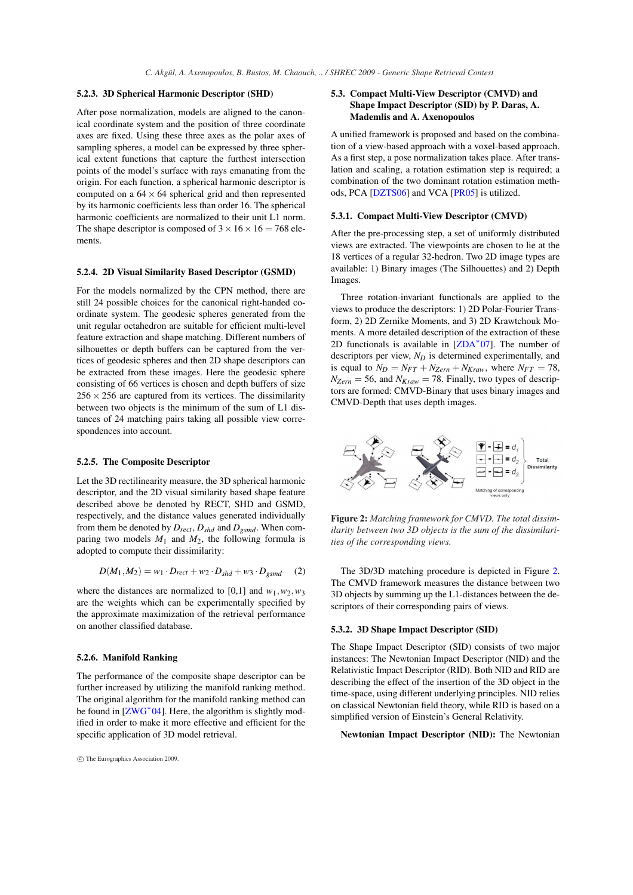## 5.2.3. 3D Spherical Harmonic Descriptor (SHD)

After pose normalization, models are aligned to the canonical coordinate system and the position of three coordinate axes are fixed. Using these three axes as the polar axes of sampling spheres, a model can be expressed by three spherical extent functions that capture the furthest intersection points of the model's surface with rays emanating from the origin. For each function, a spherical harmonic descriptor is computed on a  $64 \times 64$  spherical grid and then represented by its harmonic coefficients less than order 16. The spherical harmonic coefficients are normalized to their unit L1 norm. The shape descriptor is composed of  $3 \times 16 \times 16 = 768$  elements.

## 5.2.4. 2D Visual Similarity Based Descriptor (GSMD)

For the models normalized by the CPN method, there are still 24 possible choices for the canonical right-handed coordinate system. The geodesic spheres generated from the unit regular octahedron are suitable for efficient multi-level feature extraction and shape matching. Different numbers of silhouettes or depth buffers can be captured from the vertices of geodesic spheres and then 2D shape descriptors can be extracted from these images. Here the geodesic sphere consisting of 66 vertices is chosen and depth buffers of size  $256 \times 256$  are captured from its vertices. The dissimilarity between two objects is the minimum of the sum of L1 distances of 24 matching pairs taking all possible view correspondences into account.

## 5.2.5. The Composite Descriptor

Let the 3D rectilinearity measure, the 3D spherical harmonic descriptor, and the 2D visual similarity based shape feature described above be denoted by RECT, SHD and GSMD, respectively, and the distance values generated individually from them be denoted by *Drect*, *Dshd* and *Dgsmd*. When comparing two models  $M_1$  and  $M_2$ , the following formula is adopted to compute their dissimilarity:

$$
D(M_1, M_2) = w_1 \cdot D_{rect} + w_2 \cdot D_{shd} + w_3 \cdot D_{gsmd} \qquad (2)
$$

where the distances are normalized to [0,1] and  $w_1, w_2, w_3$ are the weights which can be experimentally specified by the approximate maximization of the retrieval performance on another classified database.

# 5.2.6. Manifold Ranking

The performance of the composite shape descriptor can be further increased by utilizing the manifold ranking method. The original algorithm for the manifold ranking method can be found in  $[ZWG^*04]$ . Here, the algorithm is slightly modified in order to make it more effective and efficient for the specific application of 3D model retrieval.

## 5.3. Compact Multi-View Descriptor (CMVD) and Shape Impact Descriptor (SID) by P. Daras, A. Mademlis and A. Axenopoulos

A unified framework is proposed and based on the combination of a view-based approach with a voxel-based approach. As a first step, a pose normalization takes place. After translation and scaling, a rotation estimation step is required; a combination of the two dominant rotation estimation methods, PCA [DZTS06] and VCA [PR05] is utilized.

## 5.3.1. Compact Multi-View Descriptor (CMVD)

After the pre-processing step, a set of uniformly distributed views are extracted. The viewpoints are chosen to lie at the 18 vertices of a regular 32-hedron. Two 2D image types are available: 1) Binary images (The Silhouettes) and 2) Depth Images.

Three rotation-invariant functionals are applied to the views to produce the descriptors: 1) 2D Polar-Fourier Transform, 2) 2D Zernike Moments, and 3) 2D Krawtchouk Moments. A more detailed description of the extraction of these 2D functionals is available in  $[ZDA^*07]$ . The number of descriptors per view, *N<sup>D</sup>* is determined experimentally, and is equal to  $N_D = N_{FT} + N_{Zern} + N_{Kraw}$ , where  $N_{FT} = 78$ ,  $N_{Zern} = 56$ , and  $N_{Kraw} = 78$ . Finally, two types of descriptors are formed: CMVD-Binary that uses binary images and CMVD-Depth that uses depth images.



Figure 2: *Matching framework for CMVD. The total dissimilarity between two 3D objects is the sum of the dissimilarities of the corresponding views.*

The 3D/3D matching procedure is depicted in Figure 2. The CMVD framework measures the distance between two 3D objects by summing up the L1-distances between the descriptors of their corresponding pairs of views.

## 5.3.2. 3D Shape Impact Descriptor (SID)

The Shape Impact Descriptor (SID) consists of two major instances: The Newtonian Impact Descriptor (NID) and the Relativistic Impact Descriptor (RID). Both NID and RID are describing the effect of the insertion of the 3D object in the time-space, using different underlying principles. NID relies on classical Newtonian field theory, while RID is based on a simplified version of Einstein's General Relativity.

Newtonian Impact Descriptor (NID): The Newtonian

<sup>°</sup>c The Eurographics Association 2009.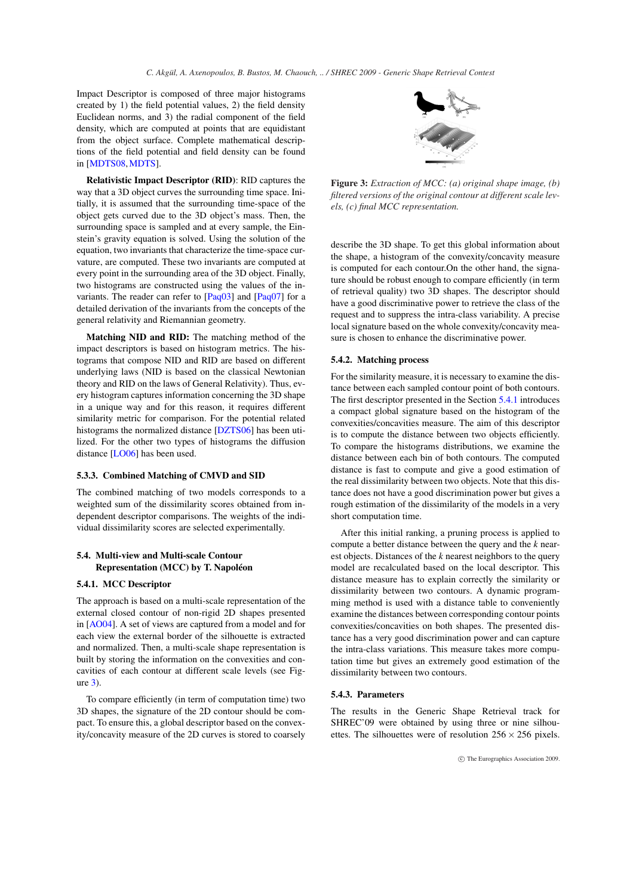Impact Descriptor is composed of three major histograms created by 1) the field potential values, 2) the field density Euclidean norms, and 3) the radial component of the field density, which are computed at points that are equidistant from the object surface. Complete mathematical descriptions of the field potential and field density can be found in [MDTS08,MDTS].

Relativistic Impact Descriptor (RID): RID captures the way that a 3D object curves the surrounding time space. Initially, it is assumed that the surrounding time-space of the object gets curved due to the 3D object's mass. Then, the surrounding space is sampled and at every sample, the Einstein's gravity equation is solved. Using the solution of the equation, two invariants that characterize the time-space curvature, are computed. These two invariants are computed at every point in the surrounding area of the 3D object. Finally, two histograms are constructed using the values of the invariants. The reader can refer to [Paq03] and [Paq07] for a detailed derivation of the invariants from the concepts of the general relativity and Riemannian geometry.

Matching NID and RID: The matching method of the impact descriptors is based on histogram metrics. The histograms that compose NID and RID are based on different underlying laws (NID is based on the classical Newtonian theory and RID on the laws of General Relativity). Thus, every histogram captures information concerning the 3D shape in a unique way and for this reason, it requires different similarity metric for comparison. For the potential related histograms the normalized distance [DZTS06] has been utilized. For the other two types of histograms the diffusion distance [LO06] has been used.

#### 5.3.3. Combined Matching of CMVD and SID

The combined matching of two models corresponds to a weighted sum of the dissimilarity scores obtained from independent descriptor comparisons. The weights of the individual dissimilarity scores are selected experimentally.

# 5.4. Multi-view and Multi-scale Contour Representation (MCC) by T. Napoléon

#### 5.4.1. MCC Descriptor

The approach is based on a multi-scale representation of the external closed contour of non-rigid 2D shapes presented in [AO04]. A set of views are captured from a model and for each view the external border of the silhouette is extracted and normalized. Then, a multi-scale shape representation is built by storing the information on the convexities and concavities of each contour at different scale levels (see Figure 3).

To compare efficiently (in term of computation time) two 3D shapes, the signature of the 2D contour should be compact. To ensure this, a global descriptor based on the convexity/concavity measure of the 2D curves is stored to coarsely



Figure 3: *Extraction of MCC: (a) original shape image, (b) filtered versions of the original contour at different scale levels, (c) final MCC representation.*

describe the 3D shape. To get this global information about the shape, a histogram of the convexity/concavity measure is computed for each contour.On the other hand, the signature should be robust enough to compare efficiently (in term of retrieval quality) two 3D shapes. The descriptor should have a good discriminative power to retrieve the class of the request and to suppress the intra-class variability. A precise local signature based on the whole convexity/concavity measure is chosen to enhance the discriminative power.

## 5.4.2. Matching process

For the similarity measure, it is necessary to examine the distance between each sampled contour point of both contours. The first descriptor presented in the Section 5.4.1 introduces a compact global signature based on the histogram of the convexities/concavities measure. The aim of this descriptor is to compute the distance between two objects efficiently. To compare the histograms distributions, we examine the distance between each bin of both contours. The computed distance is fast to compute and give a good estimation of the real dissimilarity between two objects. Note that this distance does not have a good discrimination power but gives a rough estimation of the dissimilarity of the models in a very short computation time.

After this initial ranking, a pruning process is applied to compute a better distance between the query and the *k* nearest objects. Distances of the *k* nearest neighbors to the query model are recalculated based on the local descriptor. This distance measure has to explain correctly the similarity or dissimilarity between two contours. A dynamic programming method is used with a distance table to conveniently examine the distances between corresponding contour points convexities/concavities on both shapes. The presented distance has a very good discrimination power and can capture the intra-class variations. This measure takes more computation time but gives an extremely good estimation of the dissimilarity between two contours.

## 5.4.3. Parameters

The results in the Generic Shape Retrieval track for SHREC'09 were obtained by using three or nine silhouettes. The silhouettes were of resolution  $256 \times 256$  pixels.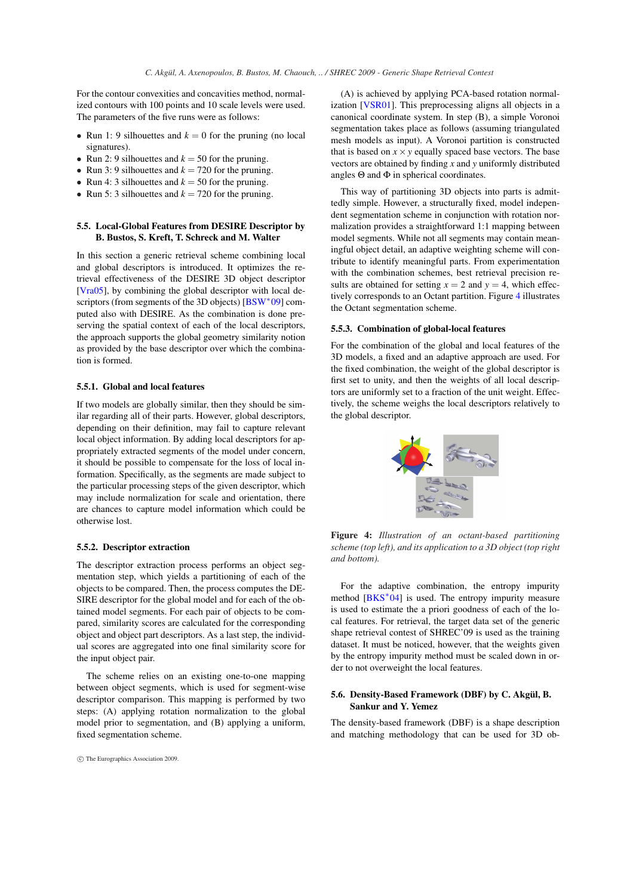For the contour convexities and concavities method, normalized contours with 100 points and 10 scale levels were used. The parameters of the five runs were as follows:

- Run 1: 9 silhouettes and  $k = 0$  for the pruning (no local signatures).
- Run 2: 9 silhouettes and  $k = 50$  for the pruning.
- Run 3: 9 silhouettes and  $k = 720$  for the pruning.
- Run 4: 3 silhouettes and  $k = 50$  for the pruning.
- Run 5: 3 silhouettes and  $k = 720$  for the pruning.

# 5.5. Local-Global Features from DESIRE Descriptor by B. Bustos, S. Kreft, T. Schreck and M. Walter

In this section a generic retrieval scheme combining local and global descriptors is introduced. It optimizes the retrieval effectiveness of the DESIRE 3D object descriptor [Vra05], by combining the global descriptor with local descriptors (from segments of the 3D objects) [BSW<sup>\*</sup>09] computed also with DESIRE. As the combination is done preserving the spatial context of each of the local descriptors, the approach supports the global geometry similarity notion as provided by the base descriptor over which the combination is formed.

#### 5.5.1. Global and local features

If two models are globally similar, then they should be similar regarding all of their parts. However, global descriptors, depending on their definition, may fail to capture relevant local object information. By adding local descriptors for appropriately extracted segments of the model under concern, it should be possible to compensate for the loss of local information. Specifically, as the segments are made subject to the particular processing steps of the given descriptor, which may include normalization for scale and orientation, there are chances to capture model information which could be otherwise lost.

# 5.5.2. Descriptor extraction

The descriptor extraction process performs an object segmentation step, which yields a partitioning of each of the objects to be compared. Then, the process computes the DE-SIRE descriptor for the global model and for each of the obtained model segments. For each pair of objects to be compared, similarity scores are calculated for the corresponding object and object part descriptors. As a last step, the individual scores are aggregated into one final similarity score for the input object pair.

The scheme relies on an existing one-to-one mapping between object segments, which is used for segment-wise descriptor comparison. This mapping is performed by two steps: (A) applying rotation normalization to the global model prior to segmentation, and (B) applying a uniform, fixed segmentation scheme.

(A) is achieved by applying PCA-based rotation normalization [VSR01]. This preprocessing aligns all objects in a canonical coordinate system. In step (B), a simple Voronoi segmentation takes place as follows (assuming triangulated mesh models as input). A Voronoi partition is constructed that is based on  $x \times y$  equally spaced base vectors. The base vectors are obtained by finding *x* and *y* uniformly distributed angles  $\Theta$  and  $\Phi$  in spherical coordinates.

This way of partitioning 3D objects into parts is admittedly simple. However, a structurally fixed, model independent segmentation scheme in conjunction with rotation normalization provides a straightforward 1:1 mapping between model segments. While not all segments may contain meaningful object detail, an adaptive weighting scheme will contribute to identify meaningful parts. From experimentation with the combination schemes, best retrieval precision results are obtained for setting  $x = 2$  and  $y = 4$ , which effectively corresponds to an Octant partition. Figure 4 illustrates the Octant segmentation scheme.

## 5.5.3. Combination of global-local features

For the combination of the global and local features of the 3D models, a fixed and an adaptive approach are used. For the fixed combination, the weight of the global descriptor is first set to unity, and then the weights of all local descriptors are uniformly set to a fraction of the unit weight. Effectively, the scheme weighs the local descriptors relatively to the global descriptor.



Figure 4: *Illustration of an octant-based partitioning scheme (top left), and its application to a 3D object (top right and bottom).*

For the adaptive combination, the entropy impurity method [BKS<sup>\*</sup>04] is used. The entropy impurity measure is used to estimate the a priori goodness of each of the local features. For retrieval, the target data set of the generic shape retrieval contest of SHREC'09 is used as the training dataset. It must be noticed, however, that the weights given by the entropy impurity method must be scaled down in order to not overweight the local features.

# 5.6. Density-Based Framework (DBF) by C. Akgül, B. Sankur and Y. Yemez

The density-based framework (DBF) is a shape description and matching methodology that can be used for 3D ob-

<sup>°</sup>c The Eurographics Association 2009.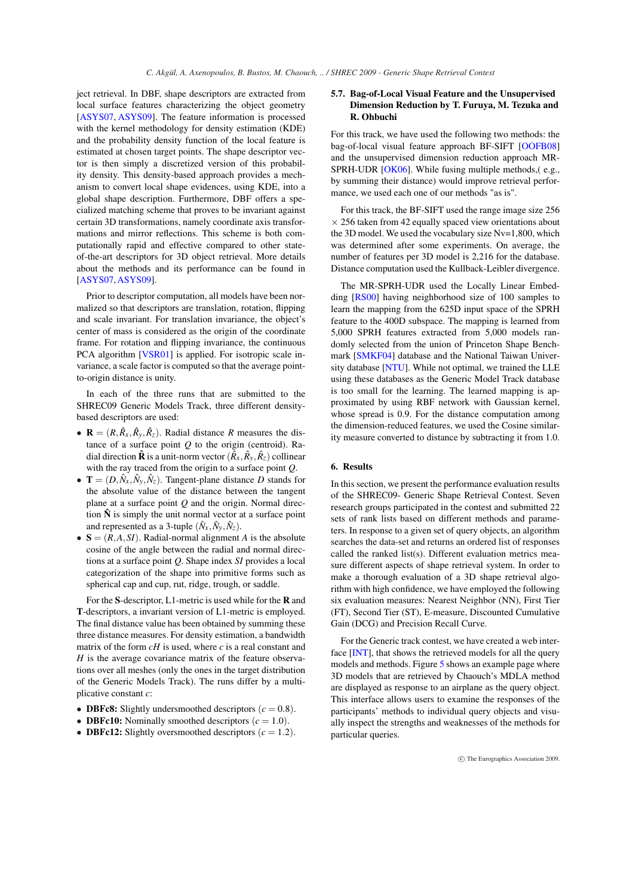ject retrieval. In DBF, shape descriptors are extracted from local surface features characterizing the object geometry [ASYS07, ASYS09]. The feature information is processed with the kernel methodology for density estimation (KDE) and the probability density function of the local feature is estimated at chosen target points. The shape descriptor vector is then simply a discretized version of this probability density. This density-based approach provides a mechanism to convert local shape evidences, using KDE, into a global shape description. Furthermore, DBF offers a specialized matching scheme that proves to be invariant against certain 3D transformations, namely coordinate axis transformations and mirror reflections. This scheme is both computationally rapid and effective compared to other stateof-the-art descriptors for 3D object retrieval. More details about the methods and its performance can be found in [ASYS07,ASYS09].

Prior to descriptor computation, all models have been normalized so that descriptors are translation, rotation, flipping and scale invariant. For translation invariance, the object's center of mass is considered as the origin of the coordinate frame. For rotation and flipping invariance, the continuous PCA algorithm [VSR01] is applied. For isotropic scale invariance, a scale factor is computed so that the average pointto-origin distance is unity.

In each of the three runs that are submitted to the SHREC09 Generic Models Track, three different densitybased descriptors are used:

- $\mathbf{R} = (R, \hat{R}_x, \hat{R}_y, \hat{R}_z)$ . Radial distance *R* measures the distance of a surface point *Q* to the origin (centroid). Radial direction  $\mathbf{\hat{R}}$  is a unit-norm vector  $(\tilde{R}_x, \hat{R}_y, \hat{R}_z)$  collinear with the ray traced from the origin to a surface point *Q*.
- $\mathbf{T} = (D, \hat{N}_x, \hat{N}_y, \hat{N}_z)$ . Tangent-plane distance *D* stands for the absolute value of the distance between the tangent plane at a surface point *Q* and the origin. Normal direction  $\hat{N}$  is simply the unit normal vector at a surface point and represented as a 3-tuple  $(\hat{N}_x, \hat{N}_y, \hat{N}_z)$ .
- $S = (R, A, SI)$ . Radial-normal alignment *A* is the absolute cosine of the angle between the radial and normal directions at a surface point *Q*. Shape index *SI* provides a local categorization of the shape into primitive forms such as spherical cap and cup, rut, ridge, trough, or saddle.

For the S-descriptor, L1-metric is used while for the R and T-descriptors, a invariant version of L1-metric is employed. The final distance value has been obtained by summing these three distance measures. For density estimation, a bandwidth matrix of the form *cH* is used, where *c* is a real constant and *H* is the average covariance matrix of the feature observations over all meshes (only the ones in the target distribution of the Generic Models Track). The runs differ by a multiplicative constant *c*:

- **DBFc8:** Slightly undersmoothed descriptors  $(c = 0.8)$ .
- **DBFc10:** Nominally smoothed descriptors  $(c = 1.0)$ .
- **DBFc12:** Slightly oversmoothed descriptors  $(c = 1.2)$ .

# 5.7. Bag-of-Local Visual Feature and the Unsupervised Dimension Reduction by T. Furuya, M. Tezuka and R. Ohbuchi

For this track, we have used the following two methods: the bag-of-local visual feature approach BF-SIFT [OOFB08] and the unsupervised dimension reduction approach MR-SPRH-UDR [OK06]. While fusing multiple methods, (e.g., by summing their distance) would improve retrieval performance, we used each one of our methods "as is".

For this track, the BF-SIFT used the range image size 256  $\times$  256 taken from 42 equally spaced view orientations about the 3D model. We used the vocabulary size Nv=1,800, which was determined after some experiments. On average, the number of features per 3D model is 2,216 for the database. Distance computation used the Kullback-Leibler divergence.

The MR-SPRH-UDR used the Locally Linear Embedding [RS00] having neighborhood size of 100 samples to learn the mapping from the 625D input space of the SPRH feature to the 400D subspace. The mapping is learned from 5,000 SPRH features extracted from 5,000 models randomly selected from the union of Princeton Shape Benchmark [SMKF04] database and the National Taiwan University database [NTU]. While not optimal, we trained the LLE using these databases as the Generic Model Track database is too small for the learning. The learned mapping is approximated by using RBF network with Gaussian kernel, whose spread is 0.9. For the distance computation among the dimension-reduced features, we used the Cosine similarity measure converted to distance by subtracting it from 1.0.

# 6. Results

In this section, we present the performance evaluation results of the SHREC09- Generic Shape Retrieval Contest. Seven research groups participated in the contest and submitted 22 sets of rank lists based on different methods and parameters. In response to a given set of query objects, an algorithm searches the data-set and returns an ordered list of responses called the ranked list(s). Different evaluation metrics measure different aspects of shape retrieval system. In order to make a thorough evaluation of a 3D shape retrieval algorithm with high confidence, we have employed the following six evaluation measures: Nearest Neighbor (NN), First Tier (FT), Second Tier (ST), E-measure, Discounted Cumulative Gain (DCG) and Precision Recall Curve.

For the Generic track contest, we have created a web interface [INT], that shows the retrieved models for all the query models and methods. Figure 5 shows an example page where 3D models that are retrieved by Chaouch's MDLA method are displayed as response to an airplane as the query object. This interface allows users to examine the responses of the participants' methods to individual query objects and visually inspect the strengths and weaknesses of the methods for particular queries.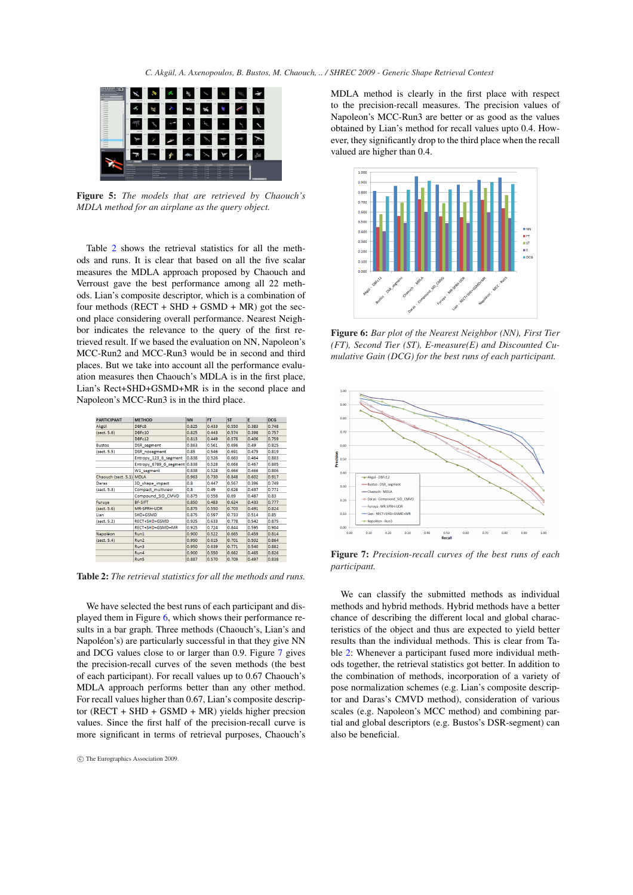

Figure 5: *The models that are retrieved by Chaouch's MDLA method for an airplane as the query object.*

Table 2 shows the retrieval statistics for all the methods and runs. It is clear that based on all the five scalar measures the MDLA approach proposed by Chaouch and Verroust gave the best performance among all 22 methods. Lian's composite descriptor, which is a combination of four methods ( $RECT + SHD + GSMD + MR$ ) got the second place considering overall performance. Nearest Neighbor indicates the relevance to the query of the first retrieved result. If we based the evaluation on NN, Napoleon's MCC-Run2 and MCC-Run3 would be in second and third places. But we take into account all the performance evaluation measures then Chaouch's MDLA is in the first place, Lian's Rect+SHD+GSMD+MR is in the second place and Napoleon's MCC-Run3 is in the third place.

| <b>PARTICIPANT</b>       | <b>METHOD</b>                | <b>NN</b> | <b>FT</b> | <b>ST</b> | E     | <b>DCG</b> |
|--------------------------|------------------------------|-----------|-----------|-----------|-------|------------|
| Akgül                    | DBFc8                        | 0.825     | 0.433     | 0.550     | 0.383 | 0.748      |
| (sect. 5.6)              | DBFc10                       | 0.825     | 0.443     | 0.574     | 0.398 | 0.757      |
|                          | DBFc12                       | 0.813     | 0.449     | 0.578     | 0.406 | 0.759      |
| <b>Bustos</b>            | <b>DSR</b> segment           | 0.863     | 0.561     | 0.696     | 0.49  | 0.825      |
| (sect. 5.5)              | <b>DSR</b> nosegment         | 0.85      | 0.546     | 0.691     | 0.479 | 0.819      |
|                          | Entropy 123 6 segment        | 0.838     | 0.526     | 0.663     | 0.464 | 0.803      |
|                          | Entropy_6789_6_segment 0.838 |           | 0.528     | 0.668     | 0.467 | 0.805      |
|                          | W1 segment                   | 0.838     | 0.528     | 0.666     | 0.466 | 0.806      |
| Chaouch (sect. 5.1) MDLA |                              | 0.963     | 0.730     | 0.848     | 0.602 | 0.917      |
| Daras                    | 3D_shape_impact              | 0.8       | 0.447     | 0.567     | 0.396 | 0.749      |
| (sect. 5.3)              | Compact multiview            | 0.8       | 0.49      | 0.626     | 0.437 | 0.771      |
|                          | Compound SID CMVD            | 0.875     | 0.558     | 0.69      | 0.487 | 0.83       |
| Furuya                   | <b>BF-SIFT</b>               | 0.850     | 0.483     | 0.624     | 0.433 | 0.777      |
| (sect. 5.6)              | MR-SPRH-UDR                  | 0.875     | 0.550     | 0.703     | 0.491 | 0.824      |
| Lian                     | SHD+GSMD                     | 0.875     | 0.597     | 0.733     | 0.514 | 0.85       |
| (sect. 5.2)              | RECT+SHD+GSMD                | 0.925     | 0.633     | 0.778     | 0.542 | 0.875      |
|                          | RECT+SHD+GSMD+MR             | 0.925     | 0.724     | 0.844     | 0.595 | 0.904      |
| Napoléon                 | Run1                         | 0.900     | 0.522     | 0.665     | 0.459 | 0.814      |
| (sect. 5.4)              | Run2                         | 0.950     | 0.615     | 0.701     | 0.502 | 0.864      |
|                          | Run3                         | 0.950     | 0.639     | 0.771     | 0.540 | 0.882      |
|                          | Run4                         | 0.900     | 0.550     | 0.662     | 0.465 | 0.826      |
|                          | <b>Direct</b>                | 0.007     | 0.570     | lo zoo    | 0.407 | n opo      |

Table 2: *The retrieval statistics for all the methods and runs.*

We have selected the best runs of each participant and displayed them in Figure 6, which shows their performance results in a bar graph. Three methods (Chaouch's, Lian's and Napoléon's) are particularly successful in that they give NN and DCG values close to or larger than 0.9. Figure 7 gives the precision-recall curves of the seven methods (the best of each participant). For recall values up to 0.67 Chaouch's MDLA approach performs better than any other method. For recall values higher than 0.67, Lian's composite descriptor (RECT + SHD + GSMD + MR) yields higher precsion values. Since the first half of the precision-recall curve is more significant in terms of retrieval purposes, Chaouch's

MDLA method is clearly in the first place with respect to the precision-recall measures. The precision values of Napoleon's MCC-Run3 are better or as good as the values obtained by Lian's method for recall values upto 0.4. However, they significantly drop to the third place when the recall valued are higher than 0.4.



Figure 6: *Bar plot of the Nearest Neighbor (NN), First Tier (FT), Second Tier (ST), E-measure(E) and Discounted Cumulative Gain (DCG) for the best runs of each participant.*



Figure 7: *Precision-recall curves of the best runs of each participant.*

We can classify the submitted methods as individual methods and hybrid methods. Hybrid methods have a better chance of describing the different local and global characteristics of the object and thus are expected to yield better results than the individual methods. This is clear from Table 2: Whenever a participant fused more individual methods together, the retrieval statistics got better. In addition to the combination of methods, incorporation of a variety of pose normalization schemes (e.g. Lian's composite descriptor and Daras's CMVD method), consideration of various scales (e.g. Napoleon's MCC method) and combining partial and global descriptors (e.g. Bustos's DSR-segment) can also be beneficial.